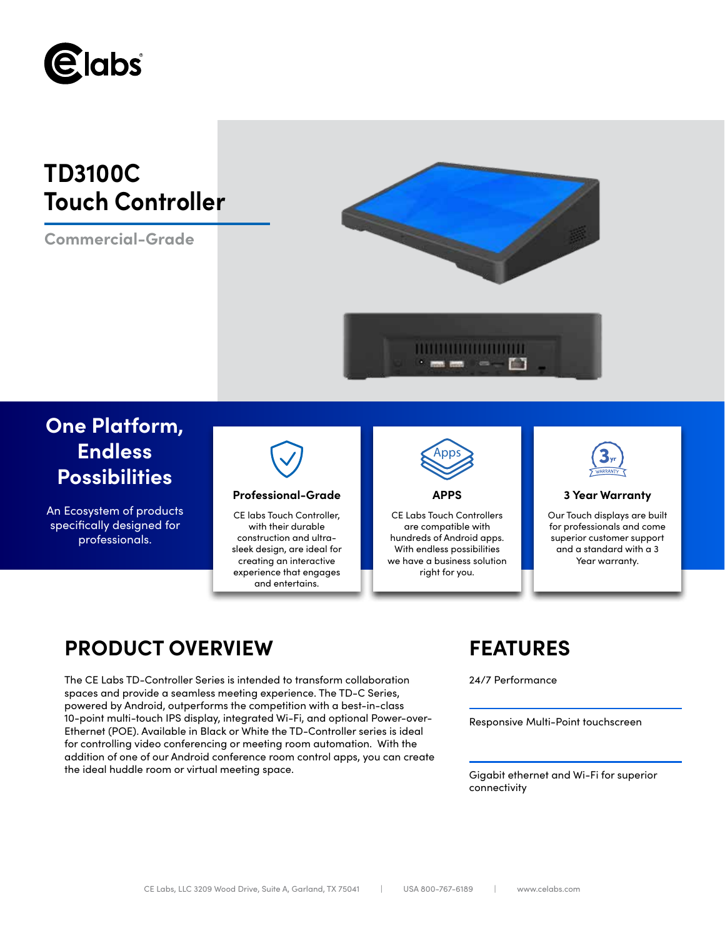

# **TD3100C Touch Controller**

**Commercial-Grade**



# **One Platform, Endless Possibilities**

An Ecosystem of products specifically designed for professionals.



## **Professional-Grade APPS 3 Year Warranty**

CE labs Touch Controller, with their durable construction and ultrasleek design, are ideal for creating an interactive experience that engages and entertains.



CE Labs Touch Controllers are compatible with

hundreds of Android apps. With endless possibilities we have a business solution right for you.



Our Touch displays are built for professionals and come superior customer support and a standard with a 3 Year warranty.

## **PRODUCT OVERVIEW FEATURES**

The CE Labs TD-Controller Series is intended to transform collaboration 24/7 Performance spaces and provide a seamless meeting experience. The TD-C Series, powered by Android, outperforms the competition with a best-in-class 10-point multi-touch IPS display, integrated Wi-Fi, and optional Power-over-Ethernet (POE). Available in Black or White the TD-Controller series is ideal for controlling video conferencing or meeting room automation. With the addition of one of our Android conference room control apps, you can create the ideal huddle room or virtual meeting space.

Responsive Multi-Point touchscreen

Gigabit ethernet and Wi-Fi for superior connectivity